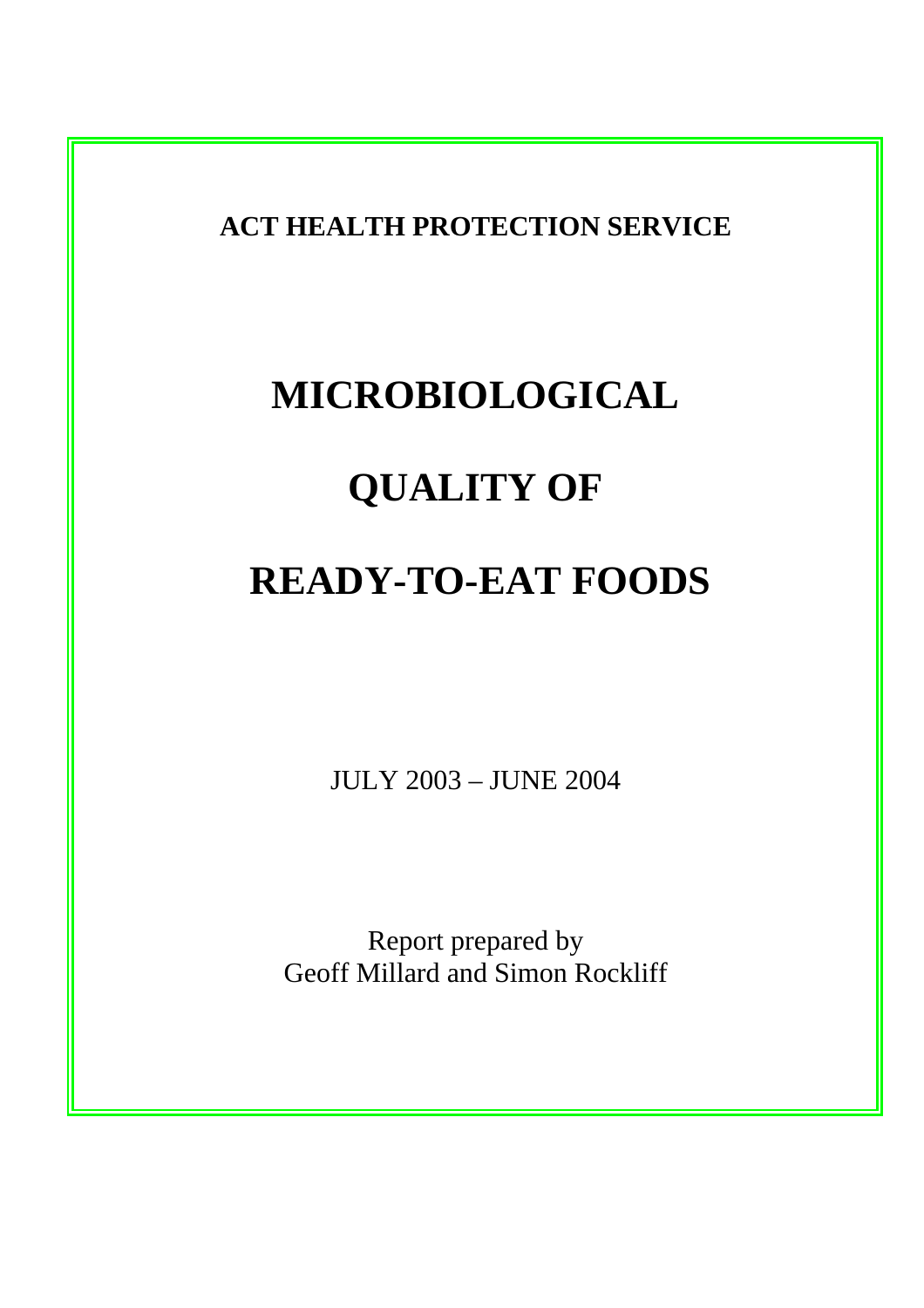**ACT HEALTH PROTECTION SERVICE** 

# **MICROBIOLOGICAL QUALITY OF**

# **READY-TO-EAT FOODS**

JULY 2003 – JUNE 2004

Report prepared by Geoff Millard and Simon Rockliff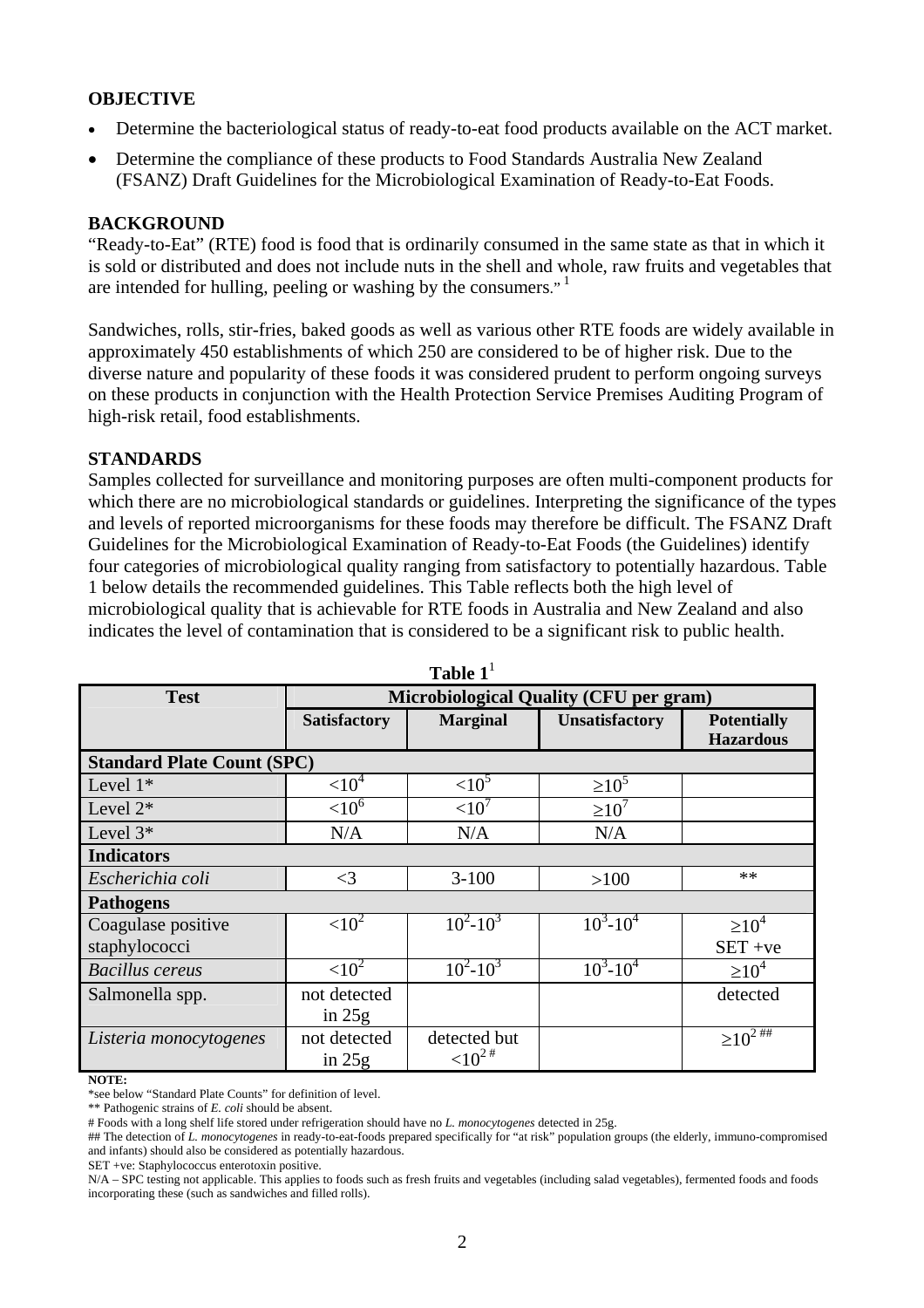# **OBJECTIVE**

- Determine the bacteriological status of ready-to-eat food products available on the ACT market.
- Determine the compliance of these products to Food Standards Australia New Zealand (FSANZ) Draft Guidelines for the Microbiological Examination of Ready-to-Eat Foods.

#### **BACKGROUND**

"Ready-to-Eat" (RTE) food is food that is ordinarily consumed in the same state as that in which it is sold or distributed and does not include nuts in the shell and whole, raw fruits and vegetables that are intended for hulling, peeling or washing by the consumers. $1$ 

Sandwiches, rolls, stir-fries, baked goods as well as various other RTE foods are widely available in approximately 450 establishments of which 250 are considered to be of higher risk. Due to the diverse nature and popularity of these foods it was considered prudent to perform ongoing surveys on these products in conjunction with the Health Protection Service Premises Auditing Program of high-risk retail, food establishments.

# **STANDARDS**

Samples collected for surveillance and monitoring purposes are often multi-component products for which there are no microbiological standards or guidelines. Interpreting the significance of the types and levels of reported microorganisms for these foods may therefore be difficult. The FSANZ Draft Guidelines for the Microbiological Examination of Ready-to-Eat Foods (the Guidelines) identify four categories of microbiological quality ranging from satisfactory to potentially hazardous. Table 1 below details the recommended guidelines. This Table reflects both the high level of microbiological quality that is achievable for RTE foods in Australia and New Zealand and also indicates the level of contamination that is considered to be a significant risk to public health.

| Table 1                           |                                               |                              |                       |                            |
|-----------------------------------|-----------------------------------------------|------------------------------|-----------------------|----------------------------|
| <b>Test</b>                       | <b>Microbiological Quality (CFU per gram)</b> |                              |                       |                            |
|                                   | <b>Satisfactory</b>                           | <b>Marginal</b>              | <b>Unsatisfactory</b> | <b>Potentially</b>         |
|                                   |                                               |                              |                       | <b>Hazardous</b>           |
| <b>Standard Plate Count (SPC)</b> |                                               |                              |                       |                            |
| Level $1*$                        | $<$ 10 <sup>4</sup>                           | ${<}10^5$                    | $\geq 10^5$           |                            |
| Level $2^*$                       | ${<}10^6$                                     | < 10 <sup>7</sup>            | $\geq 10^7$           |                            |
| Level $3*$                        | N/A                                           | N/A                          | N/A                   |                            |
| <b>Indicators</b>                 |                                               |                              |                       |                            |
| Escherichia coli                  | $\leq$ 3                                      | $3 - 100$                    | >100                  | $**$                       |
| <b>Pathogens</b>                  |                                               |                              |                       |                            |
| Coagulase positive                | ${<}10^2$                                     | $\overline{10^2 \cdot 10^3}$ | $10^3 - 10^4$         | $\geq 10^4$                |
| staphylococci                     |                                               |                              |                       | $SET + ve$                 |
| <b>Bacillus</b> cereus            | $<10^{2}$                                     | $10^2 - 10^3$                | $10^3 - 10^4$         | $\geq 10^4$                |
| Salmonella spp.                   | not detected                                  |                              |                       | detected                   |
|                                   | in $25g$                                      |                              |                       |                            |
| Listeria monocytogenes            | not detected                                  | detected but                 |                       | $\geq 10^{2 \frac{1}{10}}$ |
|                                   | in $25g$                                      | ${<}10^{2}$ #                |                       |                            |

**Table 1**<sup>1</sup>

**NOTE:** 

\*\* Pathogenic strains of *E. coli* should be absent.

SET +ve: Staphylococcus enterotoxin positive.

<sup>\*</sup>see below "Standard Plate Counts" for definition of level.

<sup>#</sup> Foods with a long shelf life stored under refrigeration should have no *L. monocytogenes* detected in 25g.

<sup>##</sup> The detection of *L. monocytogenes* in ready-to-eat-foods prepared specifically for "at risk" population groups (the elderly, immuno-compromised and infants) should also be considered as potentially hazardous.

N/A – SPC testing not applicable. This applies to foods such as fresh fruits and vegetables (including salad vegetables), fermented foods and foods incorporating these (such as sandwiches and filled rolls).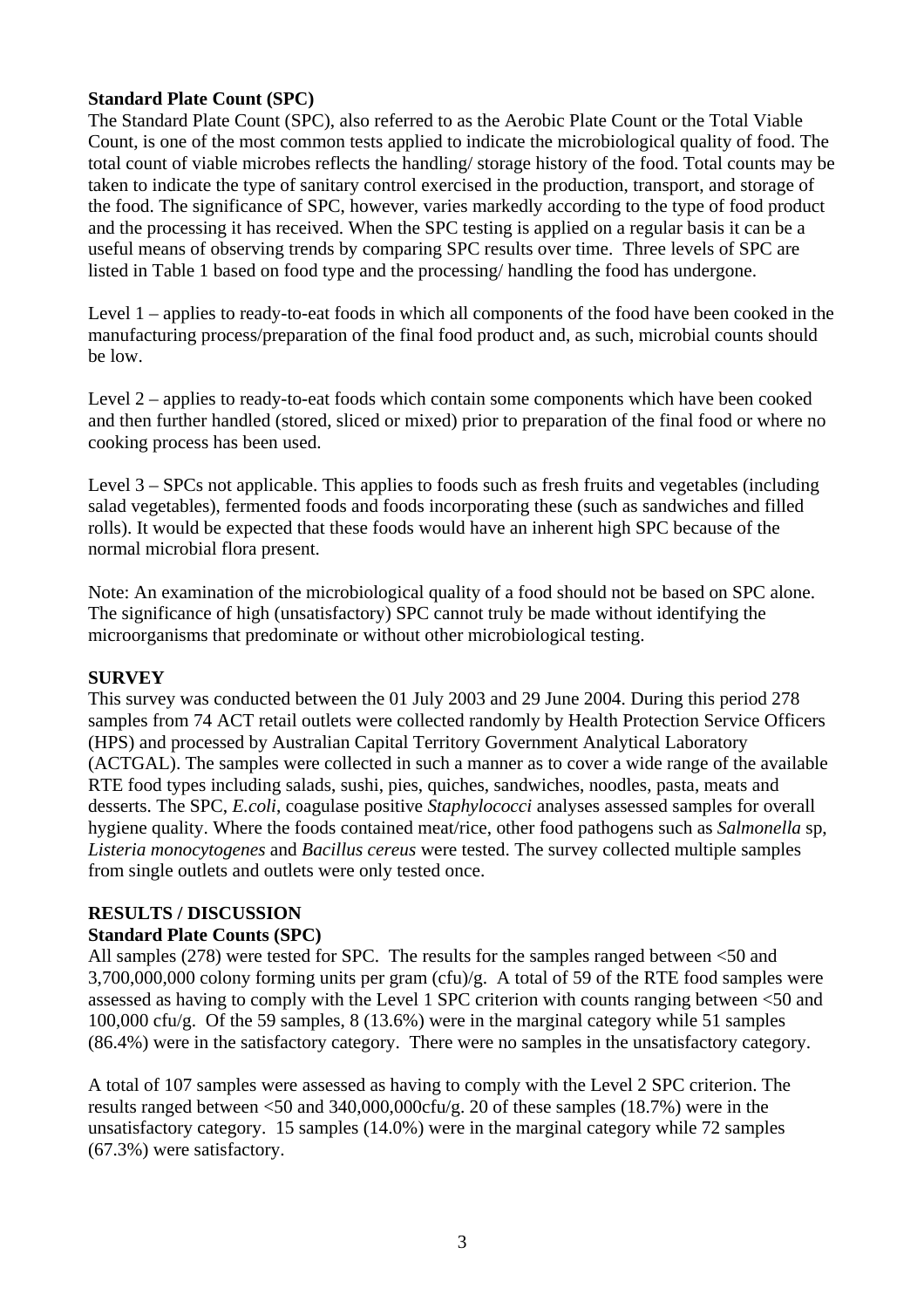# **Standard Plate Count (SPC)**

The Standard Plate Count (SPC), also referred to as the Aerobic Plate Count or the Total Viable Count, is one of the most common tests applied to indicate the microbiological quality of food. The total count of viable microbes reflects the handling/ storage history of the food. Total counts may be taken to indicate the type of sanitary control exercised in the production, transport, and storage of the food. The significance of SPC, however, varies markedly according to the type of food product and the processing it has received. When the SPC testing is applied on a regular basis it can be a useful means of observing trends by comparing SPC results over time. Three levels of SPC are listed in Table 1 based on food type and the processing/ handling the food has undergone.

Level 1 – applies to ready-to-eat foods in which all components of the food have been cooked in the manufacturing process/preparation of the final food product and, as such, microbial counts should be low.

Level 2 – applies to ready-to-eat foods which contain some components which have been cooked and then further handled (stored, sliced or mixed) prior to preparation of the final food or where no cooking process has been used.

Level 3 – SPCs not applicable. This applies to foods such as fresh fruits and vegetables (including salad vegetables), fermented foods and foods incorporating these (such as sandwiches and filled rolls). It would be expected that these foods would have an inherent high SPC because of the normal microbial flora present.

Note: An examination of the microbiological quality of a food should not be based on SPC alone. The significance of high (unsatisfactory) SPC cannot truly be made without identifying the microorganisms that predominate or without other microbiological testing.

#### **SURVEY**

This survey was conducted between the 01 July 2003 and 29 June 2004. During this period 278 samples from 74 ACT retail outlets were collected randomly by Health Protection Service Officers (HPS) and processed by Australian Capital Territory Government Analytical Laboratory (ACTGAL). The samples were collected in such a manner as to cover a wide range of the available RTE food types including salads, sushi, pies, quiches, sandwiches, noodles, pasta, meats and desserts. The SPC, *E.coli*, coagulase positive *Staphylococci* analyses assessed samples for overall hygiene quality. Where the foods contained meat/rice, other food pathogens such as *Salmonella* sp, *Listeria monocytogenes* and *Bacillus cereus* were tested. The survey collected multiple samples from single outlets and outlets were only tested once.

# **RESULTS / DISCUSSION**

# **Standard Plate Counts (SPC)**

All samples (278) were tested for SPC. The results for the samples ranged between <50 and 3,700,000,000 colony forming units per gram (cfu)/g. A total of 59 of the RTE food samples were assessed as having to comply with the Level 1 SPC criterion with counts ranging between <50 and 100,000 cfu/g. Of the 59 samples, 8 (13.6%) were in the marginal category while 51 samples (86.4%) were in the satisfactory category. There were no samples in the unsatisfactory category.

A total of 107 samples were assessed as having to comply with the Level 2 SPC criterion. The results ranged between <50 and 340,000,000cfu/g. 20 of these samples (18.7%) were in the unsatisfactory category. 15 samples (14.0%) were in the marginal category while 72 samples (67.3%) were satisfactory.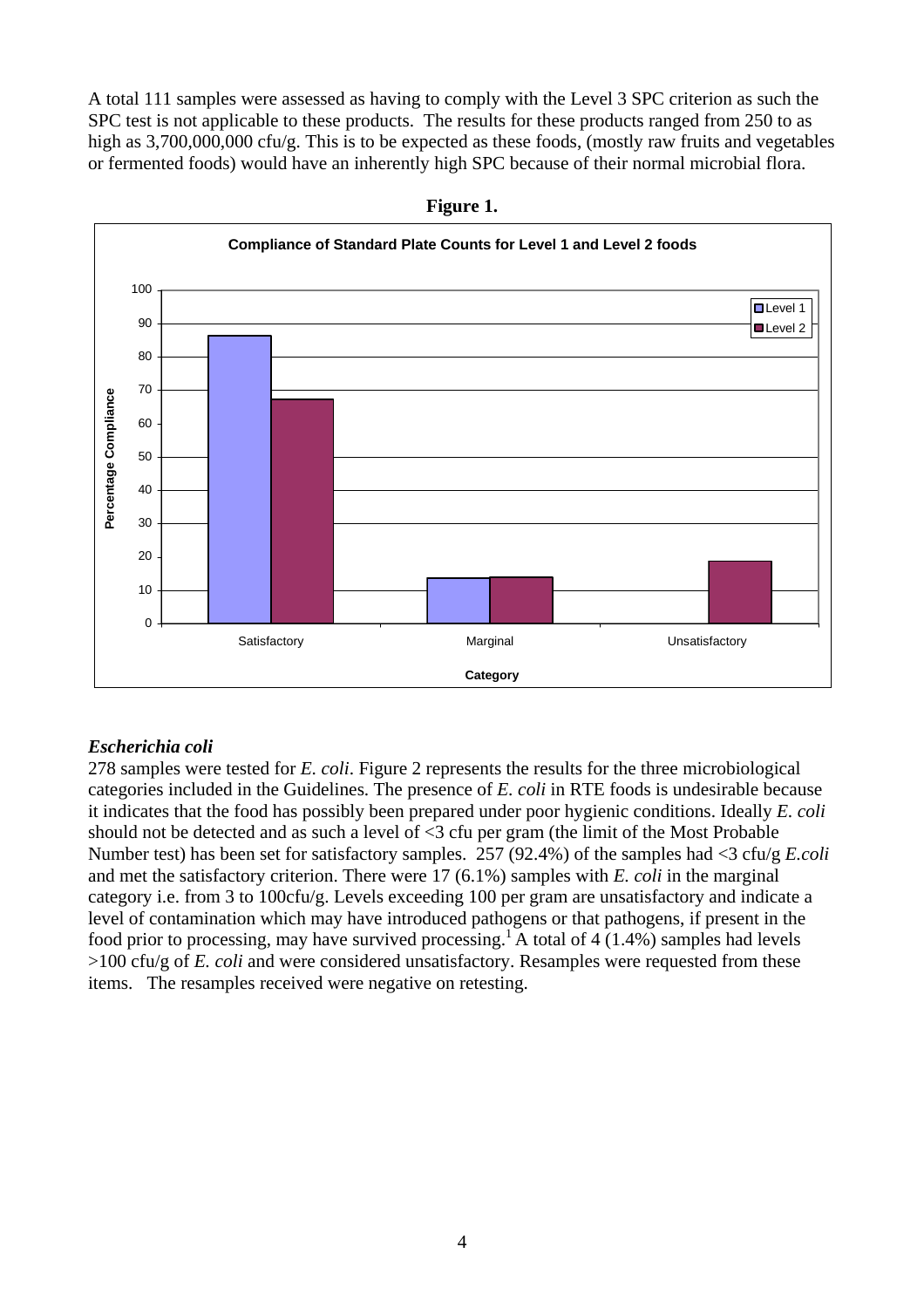A total 111 samples were assessed as having to comply with the Level 3 SPC criterion as such the SPC test is not applicable to these products. The results for these products ranged from 250 to as high as 3,700,000,000 cfu/g. This is to be expected as these foods, (mostly raw fruits and vegetables or fermented foods) would have an inherently high SPC because of their normal microbial flora.



**Figure 1.** 

# *Escherichia coli*

278 samples were tested for *E. coli*. Figure 2 represents the results for the three microbiological categories included in the Guidelines. The presence of *E. coli* in RTE foods is undesirable because it indicates that the food has possibly been prepared under poor hygienic conditions. Ideally *E. coli*  should not be detected and as such a level of <3 cfu per gram (the limit of the Most Probable Number test) has been set for satisfactory samples. 257 (92.4%) of the samples had <3 cfu/g *E.coli* and met the satisfactory criterion. There were 17 (6.1%) samples with *E. coli* in the marginal category i.e. from 3 to 100cfu/g. Levels exceeding 100 per gram are unsatisfactory and indicate a level of contamination which may have introduced pathogens or that pathogens, if present in the food prior to processing, may have survived processing.<sup>1</sup> A total of 4 (1.4%) samples had levels >100 cfu/g of *E. coli* and were considered unsatisfactory. Resamples were requested from these items. The resamples received were negative on retesting.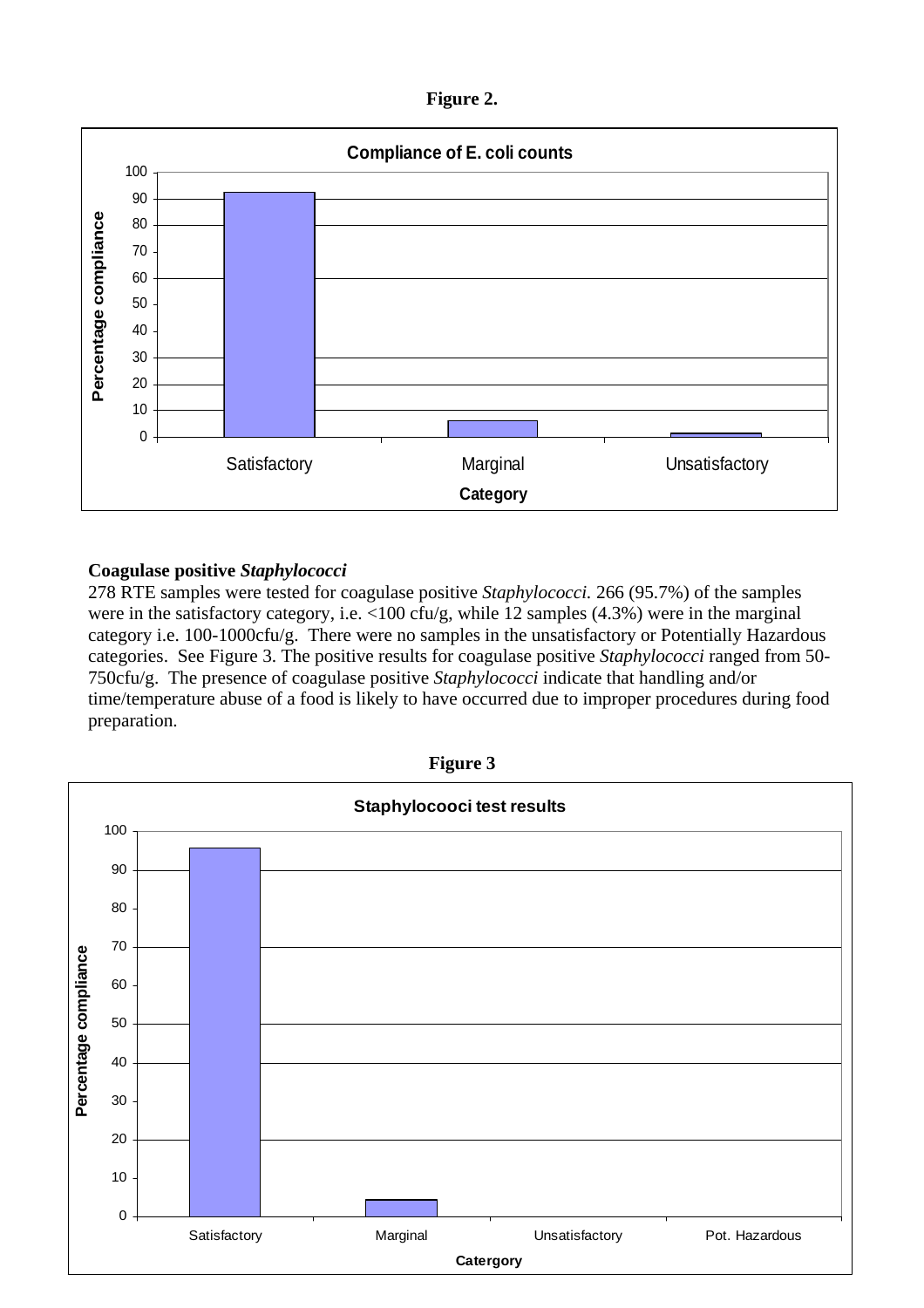**Figure 2.** 



# **Coagulase positive** *Staphylococci*

278 RTE samples were tested for coagulase positive *Staphylococci.* 266 (95.7%) of the samples were in the satisfactory category, i.e. <100 cfu/g, while 12 samples (4.3%) were in the marginal category i.e. 100-1000cfu/g. There were no samples in the unsatisfactory or Potentially Hazardous categories. See Figure 3. The positive results for coagulase positive *Staphylococci* ranged from 50- 750cfu/g. The presence of coagulase positive *Staphylococci* indicate that handling and/or time/temperature abuse of a food is likely to have occurred due to improper procedures during food preparation.



**Figure 3**